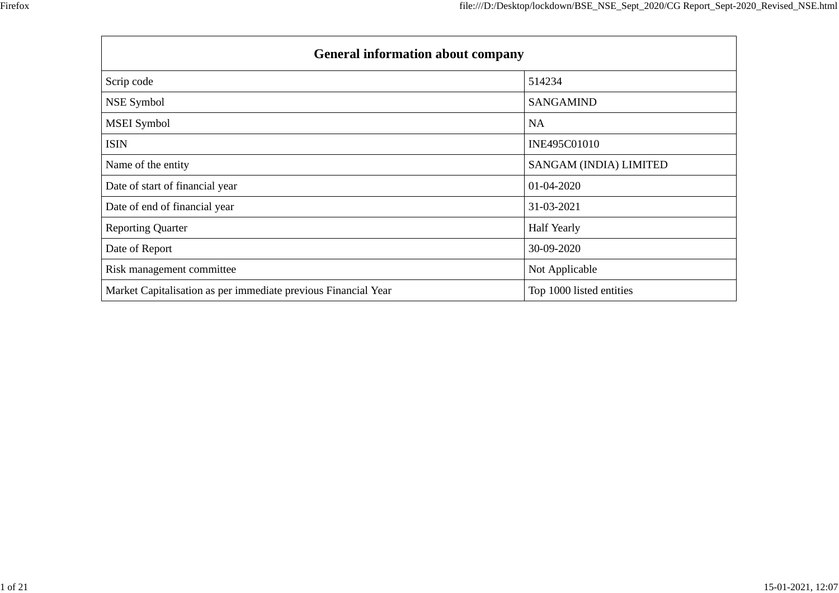| <b>General information about company</b>                       |                          |
|----------------------------------------------------------------|--------------------------|
| Scrip code                                                     | 514234                   |
| NSE Symbol                                                     | <b>SANGAMIND</b>         |
| <b>MSEI</b> Symbol                                             | <b>NA</b>                |
| <b>ISIN</b>                                                    | INE495C01010             |
| Name of the entity                                             | SANGAM (INDIA) LIMITED   |
| Date of start of financial year                                | 01-04-2020               |
| Date of end of financial year                                  | 31-03-2021               |
| <b>Reporting Quarter</b>                                       | <b>Half Yearly</b>       |
| Date of Report                                                 | 30-09-2020               |
| Risk management committee                                      | Not Applicable           |
| Market Capitalisation as per immediate previous Financial Year | Top 1000 listed entities |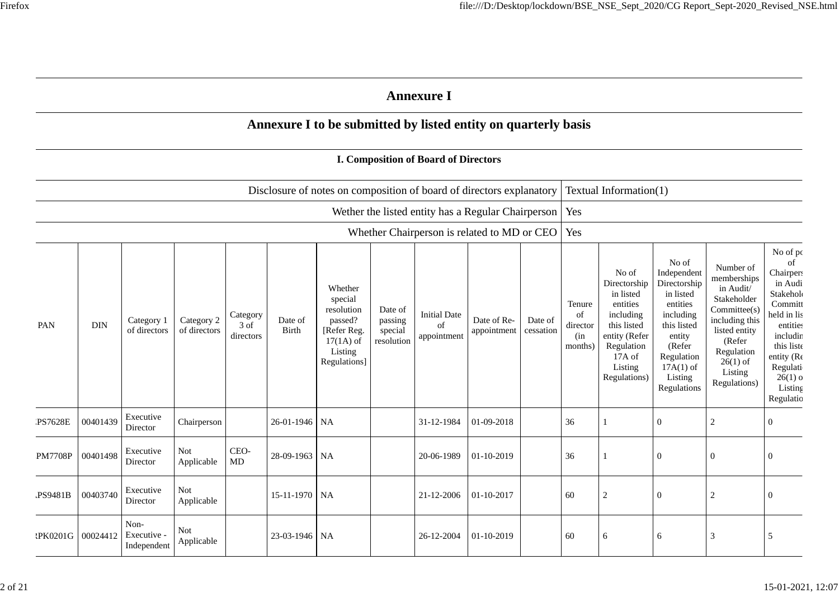|                |            |                                  |                            |                               |                  |                                                                                                      |                                             | <b>Annexure I</b>                                        |                            |                      |                                            |                                                                                                                                                |                                                                                                                                                                      |                                                                                                                                                                          |                                                                                                                                                                                   |
|----------------|------------|----------------------------------|----------------------------|-------------------------------|------------------|------------------------------------------------------------------------------------------------------|---------------------------------------------|----------------------------------------------------------|----------------------------|----------------------|--------------------------------------------|------------------------------------------------------------------------------------------------------------------------------------------------|----------------------------------------------------------------------------------------------------------------------------------------------------------------------|--------------------------------------------------------------------------------------------------------------------------------------------------------------------------|-----------------------------------------------------------------------------------------------------------------------------------------------------------------------------------|
|                |            |                                  |                            |                               |                  | Annexure I to be submitted by listed entity on quarterly basis                                       |                                             |                                                          |                            |                      |                                            |                                                                                                                                                |                                                                                                                                                                      |                                                                                                                                                                          |                                                                                                                                                                                   |
|                |            |                                  |                            |                               |                  |                                                                                                      |                                             | <b>I. Composition of Board of Directors</b>              |                            |                      |                                            |                                                                                                                                                |                                                                                                                                                                      |                                                                                                                                                                          |                                                                                                                                                                                   |
|                |            |                                  |                            |                               |                  | Disclosure of notes on composition of board of directors explanatory                                 |                                             |                                                          |                            |                      |                                            | Textual Information(1)                                                                                                                         |                                                                                                                                                                      |                                                                                                                                                                          |                                                                                                                                                                                   |
|                |            |                                  |                            |                               |                  |                                                                                                      |                                             | Wether the listed entity has a Regular Chairperson   Yes |                            |                      |                                            |                                                                                                                                                |                                                                                                                                                                      |                                                                                                                                                                          |                                                                                                                                                                                   |
|                |            |                                  |                            |                               |                  |                                                                                                      |                                             | Whether Chairperson is related to MD or CEO   Yes        |                            |                      |                                            |                                                                                                                                                |                                                                                                                                                                      |                                                                                                                                                                          |                                                                                                                                                                                   |
| PAN            | <b>DIN</b> | Category 1<br>of directors       | Category 2<br>of directors | Category<br>3 of<br>directors | Date of<br>Birth | Whether<br>special<br>resolution<br>passed?<br>[Refer Reg.<br>$17(1A)$ of<br>Listing<br>Regulations] | Date of<br>passing<br>special<br>resolution | <b>Initial Date</b><br>of<br>appointment                 | Date of Re-<br>appointment | Date of<br>cessation | Tenure<br>of<br>director<br>(in<br>months) | No of<br>Directorship<br>in listed<br>entities<br>including<br>this listed<br>entity (Refer<br>Regulation<br>17A of<br>Listing<br>Regulations) | No of<br>Independent<br>Directorship<br>in listed<br>entities<br>including<br>this listed<br>entity<br>(Refer<br>Regulation<br>$17A(1)$ of<br>Listing<br>Regulations | Number of<br>memberships<br>in Audit/<br>Stakeholder<br>Committee(s)<br>including this<br>listed entity<br>(Refer<br>Regulation<br>$26(1)$ of<br>Listing<br>Regulations) | No of po<br>of<br>Chairpers<br>in Audi<br>Stakehol<br>Committ<br>held in lis<br>entities<br>includin<br>this liste<br>entity (Re<br>Regulati<br>$26(1)$ o<br>Listing<br>Regulatio |
| <b>PS7628E</b> | 00401439   | Executive<br>Director            | Chairperson                |                               | 26-01-1946 NA    |                                                                                                      |                                             | 31-12-1984                                               | 01-09-2018                 |                      | 36                                         |                                                                                                                                                | $\overline{0}$                                                                                                                                                       | $\sqrt{2}$                                                                                                                                                               | $\boldsymbol{0}$                                                                                                                                                                  |
| <b>PM7708P</b> | 00401498   | Executive<br>Director            | <b>Not</b><br>Applicable   | CEO-<br>$\rm MD$              | 28-09-1963 NA    |                                                                                                      |                                             | 20-06-1989                                               | 01-10-2019                 |                      | 36                                         |                                                                                                                                                | $\Omega$                                                                                                                                                             | $\boldsymbol{0}$                                                                                                                                                         | $\Omega$                                                                                                                                                                          |
| PS9481B        | 00403740   | Executive<br>Director            | Not<br>Applicable          |                               | 15-11-1970 NA    |                                                                                                      |                                             | 21-12-2006                                               | 01-10-2017                 |                      | 60                                         | 2                                                                                                                                              | $\Omega$                                                                                                                                                             | $\overline{2}$                                                                                                                                                           | $\Omega$                                                                                                                                                                          |
| :PK0201G       | 00024412   | Non-<br>Executive<br>Independent | Not<br>Applicable          |                               | 23-03-1946 NA    |                                                                                                      |                                             | 26-12-2004                                               | 01-10-2019                 |                      | 60                                         | 6                                                                                                                                              | 6                                                                                                                                                                    | 3                                                                                                                                                                        | 5                                                                                                                                                                                 |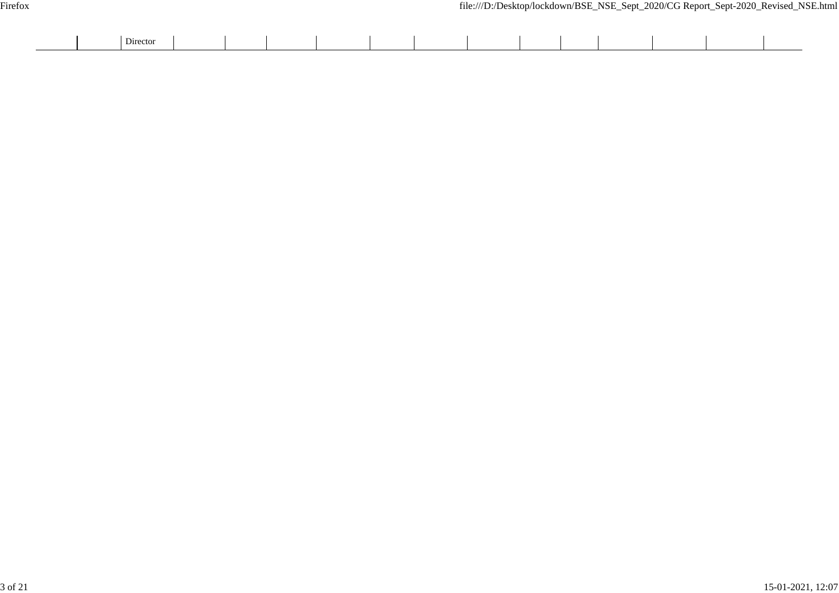| Director |  |  |  |  |  |  |  |
|----------|--|--|--|--|--|--|--|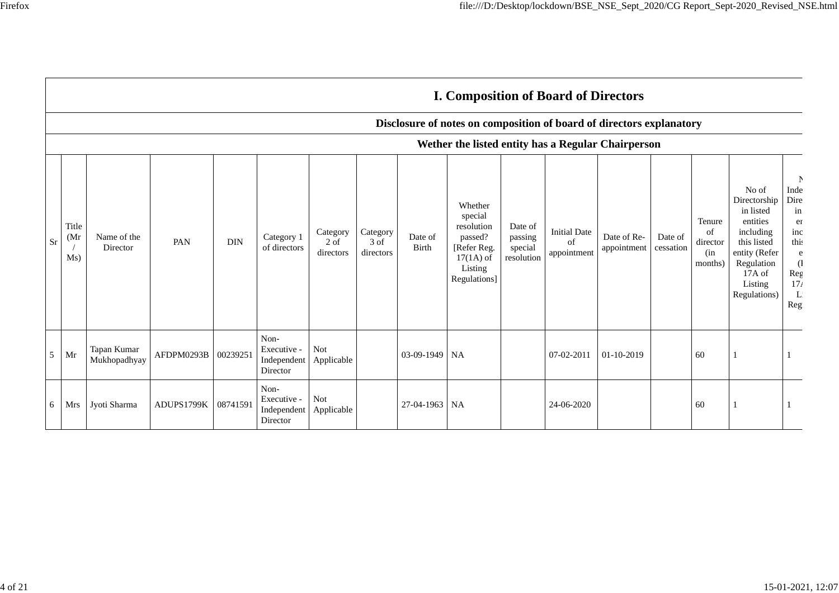|           |                                                    |                             |                     |            |                                                |                                 |                               |                         | <b>I. Composition of Board of Directors</b>                                                          |                                             |                                          |                                                                      |                      |                                            |                                                                                                                                                |                                                                                                     |
|-----------|----------------------------------------------------|-----------------------------|---------------------|------------|------------------------------------------------|---------------------------------|-------------------------------|-------------------------|------------------------------------------------------------------------------------------------------|---------------------------------------------|------------------------------------------|----------------------------------------------------------------------|----------------------|--------------------------------------------|------------------------------------------------------------------------------------------------------------------------------------------------|-----------------------------------------------------------------------------------------------------|
|           |                                                    |                             |                     |            |                                                |                                 |                               |                         |                                                                                                      |                                             |                                          | Disclosure of notes on composition of board of directors explanatory |                      |                                            |                                                                                                                                                |                                                                                                     |
|           | Wether the listed entity has a Regular Chairperson |                             |                     |            |                                                |                                 |                               |                         |                                                                                                      |                                             |                                          |                                                                      |                      |                                            |                                                                                                                                                |                                                                                                     |
| <b>Sr</b> | Title<br>(Mr)<br>Ms)                               | Name of the<br>Director     | PAN                 | <b>DIN</b> | Category 1<br>of directors                     | Category<br>$2$ of<br>directors | Category<br>3 of<br>directors | Date of<br><b>Birth</b> | Whether<br>special<br>resolution<br>passed?<br>[Refer Reg.<br>$17(1A)$ of<br>Listing<br>Regulations] | Date of<br>passing<br>special<br>resolution | <b>Initial Date</b><br>of<br>appointment | Date of Re-<br>appointment                                           | Date of<br>cessation | Tenure<br>of<br>director<br>(in<br>months) | No of<br>Directorship<br>in listed<br>entities<br>including<br>this listed<br>entity (Refer<br>Regulation<br>17A of<br>Listing<br>Regulations) | N<br>Inde<br>Dire<br>in<br>er<br>inc<br>this<br>e<br>$\mathcal{L}$<br>Reg<br>17 <sub>t</sub><br>Reg |
| 5         | Mr                                                 | Tapan Kumar<br>Mukhopadhyay | AFDPM0293B 00239251 |            | Non-<br>Executive -<br>Independent<br>Director | Not<br>Applicable               |                               | 03-09-1949              | <b>NA</b>                                                                                            |                                             | 07-02-2011                               | 01-10-2019                                                           |                      | 60                                         |                                                                                                                                                |                                                                                                     |
| 6         | Mrs                                                | Jyoti Sharma                | ADUPS1799K          | 08741591   | Non-<br>Executive -<br>Independent<br>Director | <b>Not</b><br>Applicable        |                               | 27-04-1963 NA           |                                                                                                      |                                             | 24-06-2020                               |                                                                      |                      | 60                                         |                                                                                                                                                |                                                                                                     |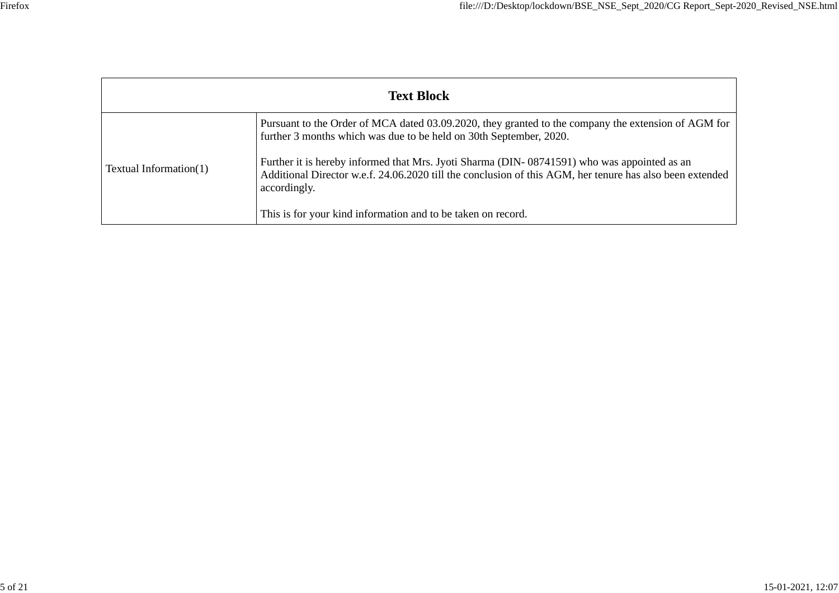| <b>Text Block</b>             |                                                                                                                                                                                                                         |  |  |  |  |  |  |  |
|-------------------------------|-------------------------------------------------------------------------------------------------------------------------------------------------------------------------------------------------------------------------|--|--|--|--|--|--|--|
|                               | Pursuant to the Order of MCA dated 03.09.2020, they granted to the company the extension of AGM for<br>further 3 months which was due to be held on 30th September, 2020.                                               |  |  |  |  |  |  |  |
| <b>Textual Information(1)</b> | Further it is hereby informed that Mrs. Jyoti Sharma (DIN-08741591) who was appointed as an<br>Additional Director w.e.f. 24.06.2020 till the conclusion of this AGM, her tenure has also been extended<br>accordingly. |  |  |  |  |  |  |  |
|                               | This is for your kind information and to be taken on record.                                                                                                                                                            |  |  |  |  |  |  |  |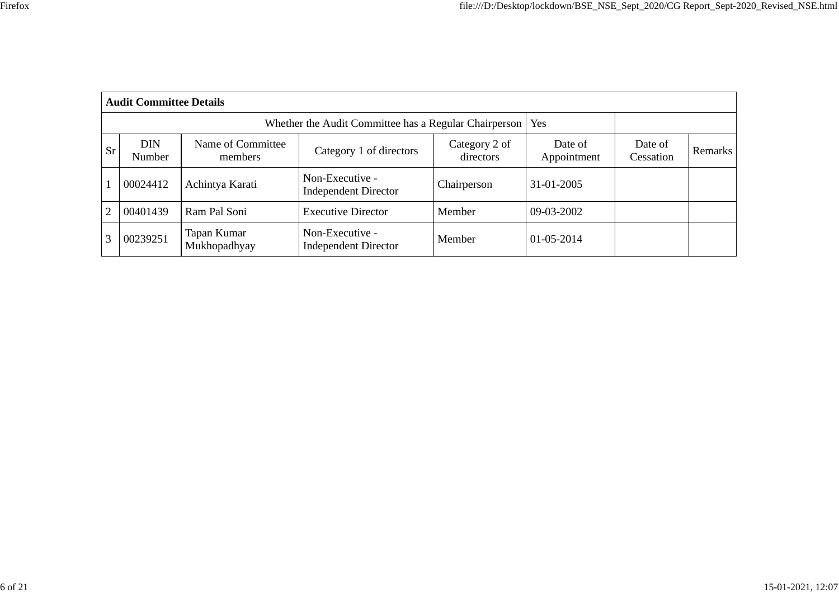|           | <b>Audit Committee Details</b> |                                                       |                                                |                            |                        |                      |         |
|-----------|--------------------------------|-------------------------------------------------------|------------------------------------------------|----------------------------|------------------------|----------------------|---------|
|           |                                | Whether the Audit Committee has a Regular Chairperson | Yes                                            |                            |                        |                      |         |
| <b>Sr</b> | <b>DIN</b><br>Number           | Name of Committee<br>members                          | Category 1 of directors                        | Category 2 of<br>directors | Date of<br>Appointment | Date of<br>Cessation | Remarks |
|           | 00024412                       | Achintya Karati                                       | Non-Executive -<br><b>Independent Director</b> | Chairperson                | 31-01-2005             |                      |         |
| 2         | 00401439                       | Ram Pal Soni                                          | <b>Executive Director</b>                      | Member                     | 09-03-2002             |                      |         |
| 3         | 00239251                       | Tapan Kumar<br>Mukhopadhyay                           | Non-Executive -<br><b>Independent Director</b> | Member                     | 01-05-2014             |                      |         |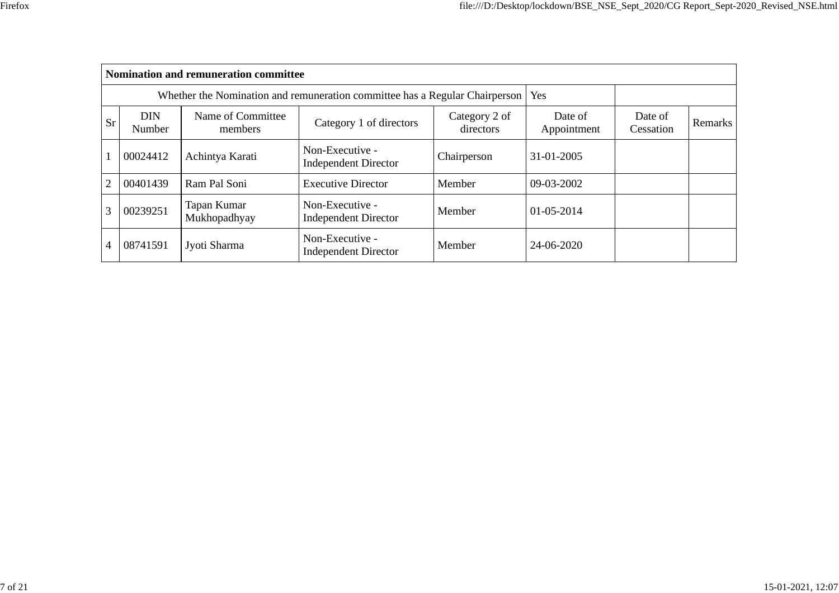|                |                      | <b>Nomination and remuneration committee</b> |                                                                             |                        |                      |         |  |
|----------------|----------------------|----------------------------------------------|-----------------------------------------------------------------------------|------------------------|----------------------|---------|--|
|                |                      |                                              | Whether the Nomination and remuneration committee has a Regular Chairperson |                        | <b>Yes</b>           |         |  |
| <b>Sr</b>      | <b>DIN</b><br>Number | Name of Committee<br>members                 | Category 2 of<br>directors                                                  | Date of<br>Appointment | Date of<br>Cessation | Remarks |  |
|                | 00024412             | Achintya Karati                              | Non-Executive -<br><b>Independent Director</b>                              | Chairperson            | 31-01-2005           |         |  |
| $\overline{2}$ | 00401439             | Ram Pal Soni                                 | <b>Executive Director</b>                                                   | Member                 | 09-03-2002           |         |  |
| 3              | 00239251             | Tapan Kumar<br>Mukhopadhyay                  | Non-Executive -<br><b>Independent Director</b>                              | Member                 | 01-05-2014           |         |  |
| 4              | 08741591             | Jyoti Sharma                                 | Non-Executive -<br><b>Independent Director</b>                              | Member                 | 24-06-2020           |         |  |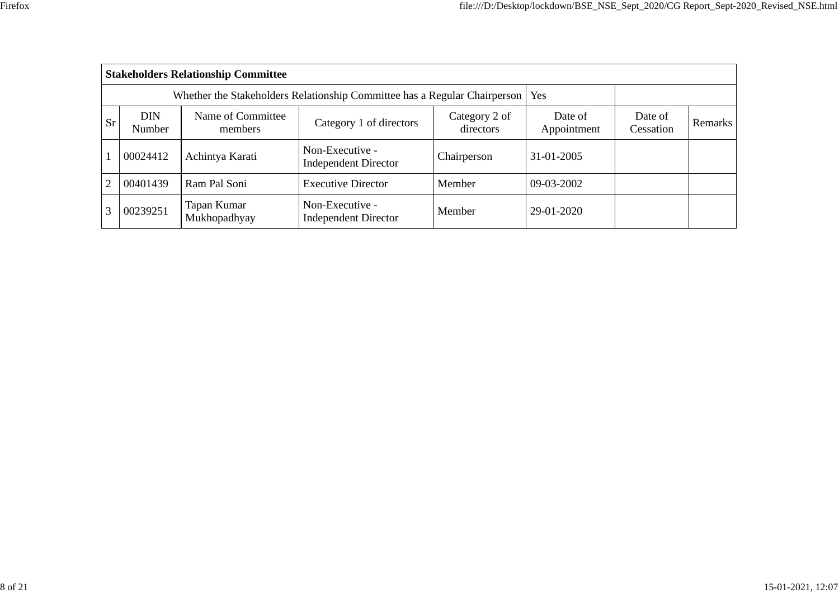|           |                      | <b>Stakeholders Relationship Committee</b> |                                                                                 |                        |                      |                |  |
|-----------|----------------------|--------------------------------------------|---------------------------------------------------------------------------------|------------------------|----------------------|----------------|--|
|           |                      |                                            | Whether the Stakeholders Relationship Committee has a Regular Chairperson   Yes |                        |                      |                |  |
| <b>Sr</b> | <b>DIN</b><br>Number | Name of Committee<br>members               | Category 2 of<br>directors                                                      | Date of<br>Appointment | Date of<br>Cessation | <b>Remarks</b> |  |
|           | 00024412             | Achintya Karati                            | Non-Executive -<br><b>Independent Director</b>                                  | Chairperson            | 31-01-2005           |                |  |
| 2         | 00401439             | Ram Pal Soni                               | <b>Executive Director</b>                                                       | Member                 | 09-03-2002           |                |  |
| 3         | 00239251             | Tapan Kumar<br>Mukhopadhyay                | Non-Executive -<br><b>Independent Director</b>                                  | Member                 | 29-01-2020           |                |  |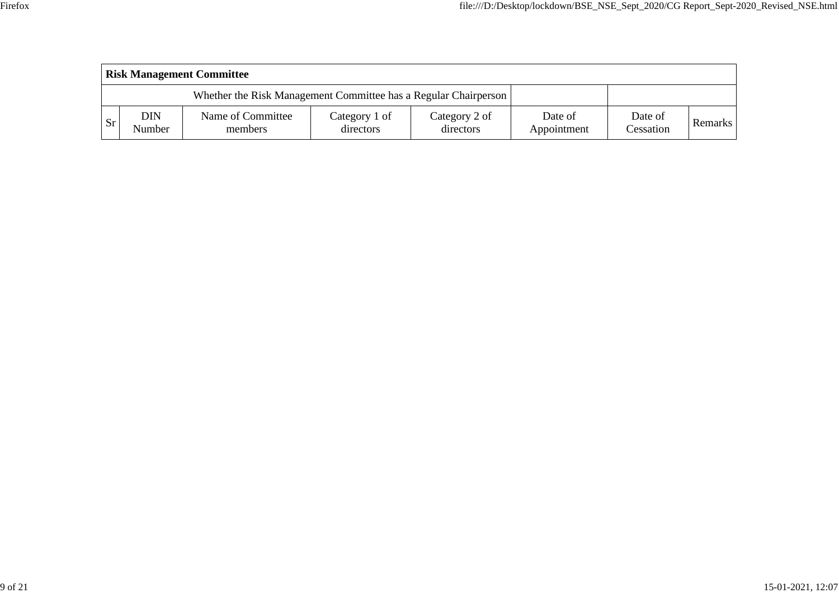|               | <b>Risk Management Committee</b> |                                                                 |                            |                            |                        |                      |                |  |  |  |
|---------------|----------------------------------|-----------------------------------------------------------------|----------------------------|----------------------------|------------------------|----------------------|----------------|--|--|--|
|               |                                  | Whether the Risk Management Committee has a Regular Chairperson |                            |                            |                        |                      |                |  |  |  |
| <sub>Sr</sub> | DIN<br>Number                    | Name of Committee<br>members                                    | Category 1 of<br>directors | Category 2 of<br>directors | Date of<br>Appointment | Date of<br>Cessation | <b>Remarks</b> |  |  |  |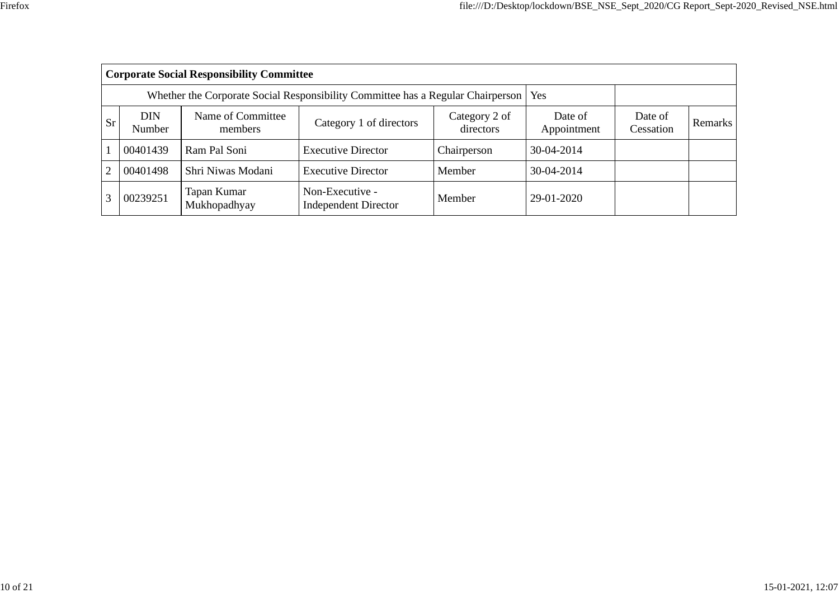|           |               | <b>Corporate Social Responsibility Committee</b> |                                                                                       |                        |                      |         |  |
|-----------|---------------|--------------------------------------------------|---------------------------------------------------------------------------------------|------------------------|----------------------|---------|--|
|           |               |                                                  | Whether the Corporate Social Responsibility Committee has a Regular Chairperson   Yes |                        |                      |         |  |
| <b>Sr</b> | DIN<br>Number | Name of Committee<br>members                     | Category 2 of<br>directors                                                            | Date of<br>Appointment | Date of<br>Cessation | Remarks |  |
|           | 00401439      | Ram Pal Soni                                     | <b>Executive Director</b>                                                             | Chairperson            | 30-04-2014           |         |  |
| 2         | 00401498      | Shri Niwas Modani                                | <b>Executive Director</b>                                                             | Member                 | 30-04-2014           |         |  |
|           | 00239251      | Tapan Kumar<br>Mukhopadhyay                      | Non-Executive -<br><b>Independent Director</b>                                        | Member                 | 29-01-2020           |         |  |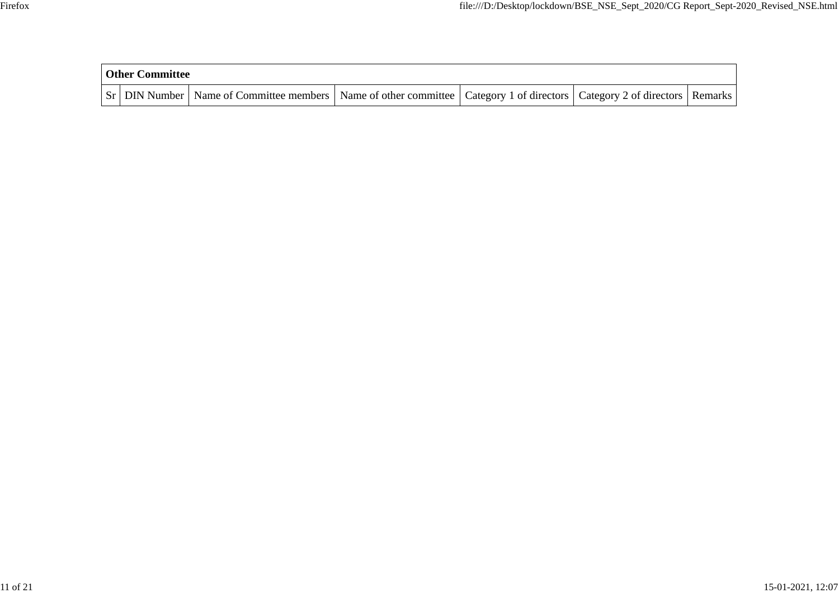| <b>Other Committee</b> |                                                                                                                                     |  |  |  |  |  |  |  |
|------------------------|-------------------------------------------------------------------------------------------------------------------------------------|--|--|--|--|--|--|--|
|                        | Sr   DIN Number   Name of Committee members   Name of other committee   Category 1 of directors   Category 2 of directors   Remarks |  |  |  |  |  |  |  |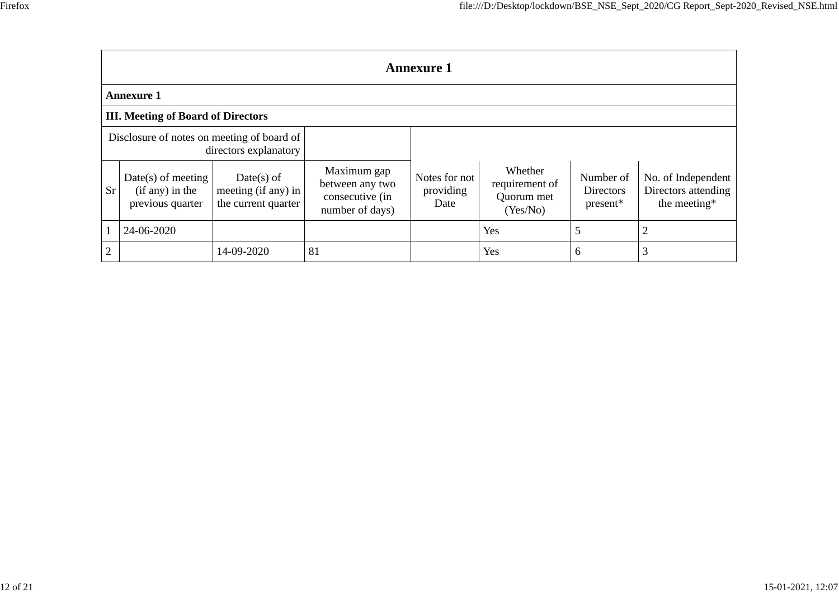|                | <b>Annexure 1</b>                                           |                                                            |                                                                      |                                    |                                                     |                                      |                                                           |  |  |  |
|----------------|-------------------------------------------------------------|------------------------------------------------------------|----------------------------------------------------------------------|------------------------------------|-----------------------------------------------------|--------------------------------------|-----------------------------------------------------------|--|--|--|
|                | <b>Annexure 1</b>                                           |                                                            |                                                                      |                                    |                                                     |                                      |                                                           |  |  |  |
|                | <b>III. Meeting of Board of Directors</b>                   |                                                            |                                                                      |                                    |                                                     |                                      |                                                           |  |  |  |
|                | Disclosure of notes on meeting of board of                  | directors explanatory                                      |                                                                      |                                    |                                                     |                                      |                                                           |  |  |  |
| <b>Sr</b>      | $Date(s)$ of meeting<br>(if any) in the<br>previous quarter | $Date(s)$ of<br>meeting (if any) in<br>the current quarter | Maximum gap<br>between any two<br>consecutive (in<br>number of days) | Notes for not<br>providing<br>Date | Whether<br>requirement of<br>Quorum met<br>(Yes/No) | Number of<br>Directors<br>$present*$ | No. of Independent<br>Directors attending<br>the meeting* |  |  |  |
|                | 24-06-2020                                                  |                                                            |                                                                      |                                    | Yes                                                 |                                      | $\overline{2}$                                            |  |  |  |
| $\overline{2}$ |                                                             | 14-09-2020                                                 | 81                                                                   |                                    | Yes                                                 | 6                                    | 3                                                         |  |  |  |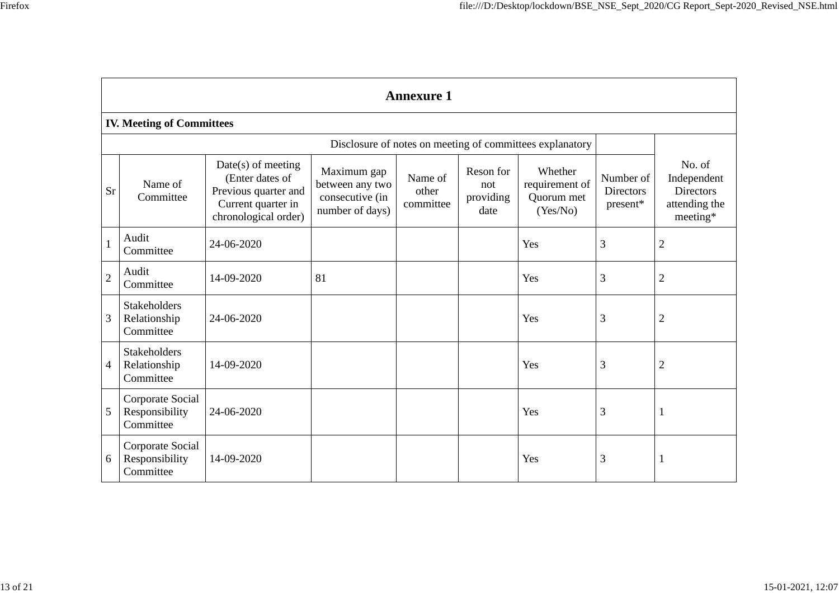|                | <b>Annexure 1</b>                                        |                                                                                                               |                                                                      |                               |                                       |                                                     |                                           |                                                                        |
|----------------|----------------------------------------------------------|---------------------------------------------------------------------------------------------------------------|----------------------------------------------------------------------|-------------------------------|---------------------------------------|-----------------------------------------------------|-------------------------------------------|------------------------------------------------------------------------|
|                | <b>IV. Meeting of Committees</b>                         |                                                                                                               |                                                                      |                               |                                       |                                                     |                                           |                                                                        |
|                | Disclosure of notes on meeting of committees explanatory |                                                                                                               |                                                                      |                               |                                       |                                                     |                                           |                                                                        |
| <b>Sr</b>      | Name of<br>Committee                                     | $Date(s)$ of meeting<br>(Enter dates of<br>Previous quarter and<br>Current quarter in<br>chronological order) | Maximum gap<br>between any two<br>consecutive (in<br>number of days) | Name of<br>other<br>committee | Reson for<br>not<br>providing<br>date | Whether<br>requirement of<br>Quorum met<br>(Yes/No) | Number of<br><b>Directors</b><br>present* | No. of<br>Independent<br><b>Directors</b><br>attending the<br>meeting* |
| $\mathbf{1}$   | Audit<br>Committee                                       | 24-06-2020                                                                                                    |                                                                      |                               |                                       | Yes                                                 | 3                                         | $\overline{2}$                                                         |
| $\sqrt{2}$     | Audit<br>Committee                                       | 14-09-2020                                                                                                    | 81                                                                   |                               |                                       | Yes                                                 | 3                                         | $\overline{2}$                                                         |
| 3              | <b>Stakeholders</b><br>Relationship<br>Committee         | 24-06-2020                                                                                                    |                                                                      |                               |                                       | Yes                                                 | 3                                         | $\overline{2}$                                                         |
| $\overline{4}$ | <b>Stakeholders</b><br>Relationship<br>Committee         | 14-09-2020                                                                                                    |                                                                      |                               |                                       | Yes                                                 | 3                                         | $\overline{2}$                                                         |
| 5              | Corporate Social<br>Responsibility<br>Committee          | 24-06-2020                                                                                                    |                                                                      |                               |                                       | Yes                                                 | 3                                         | 1                                                                      |
| 6              | Corporate Social<br>Responsibility<br>Committee          | 14-09-2020                                                                                                    |                                                                      |                               |                                       | Yes                                                 | 3                                         | -1                                                                     |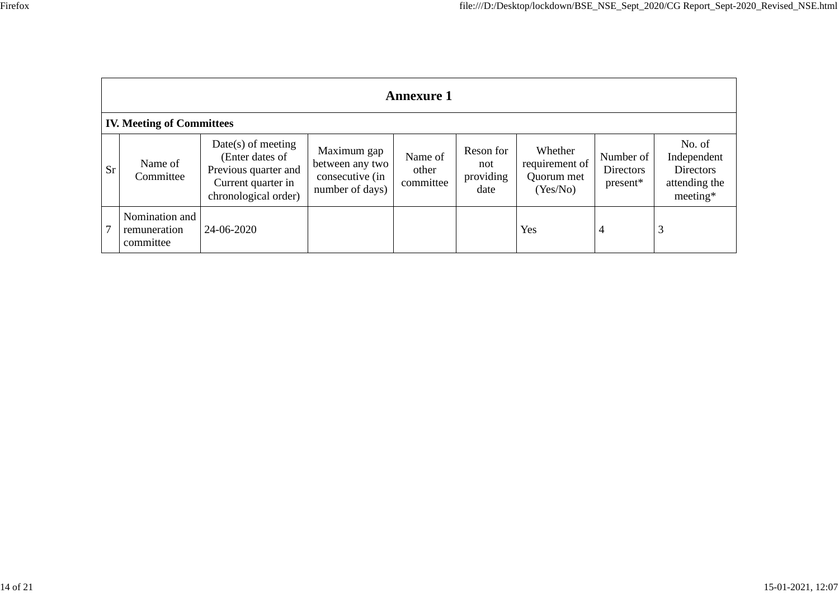|                                  | <b>Annexure 1</b>                           |                                                                                                               |                                                                      |                               |                                       |                                                     |                                           |                                                                          |
|----------------------------------|---------------------------------------------|---------------------------------------------------------------------------------------------------------------|----------------------------------------------------------------------|-------------------------------|---------------------------------------|-----------------------------------------------------|-------------------------------------------|--------------------------------------------------------------------------|
| <b>IV. Meeting of Committees</b> |                                             |                                                                                                               |                                                                      |                               |                                       |                                                     |                                           |                                                                          |
| <b>Sr</b>                        | Name of<br>Committee                        | $Date(s)$ of meeting<br>(Enter dates of<br>Previous quarter and<br>Current quarter in<br>chronological order) | Maximum gap<br>between any two<br>consecutive (in<br>number of days) | Name of<br>other<br>committee | Reson for<br>not<br>providing<br>date | Whether<br>requirement of<br>Quorum met<br>(Yes/No) | Number of<br><b>Directors</b><br>present* | No. of<br>Independent<br><b>Directors</b><br>attending the<br>$meeting*$ |
|                                  | Nomination and<br>remuneration<br>committee | 24-06-2020                                                                                                    |                                                                      |                               |                                       | Yes                                                 | $\overline{4}$                            | 3                                                                        |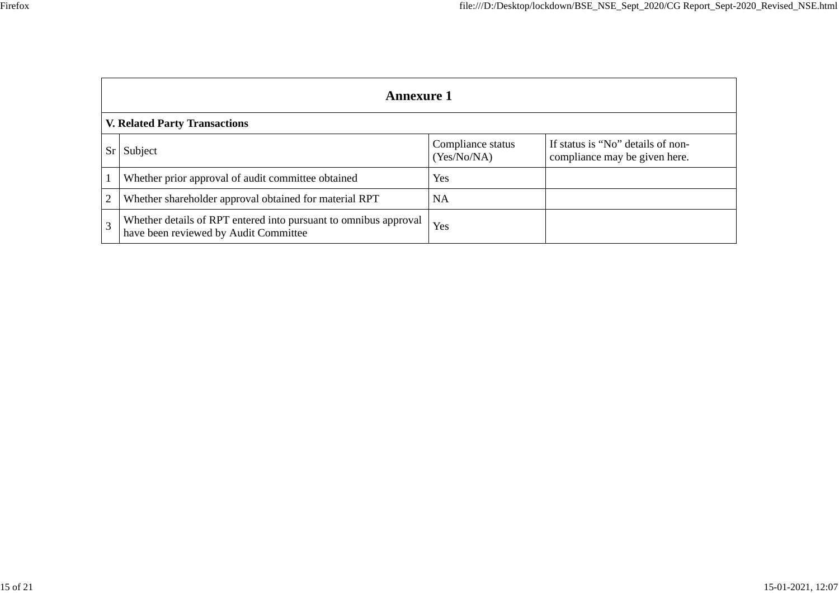|    | <b>Annexure 1</b>                                                                                         |                                  |                                                                    |  |  |  |  |
|----|-----------------------------------------------------------------------------------------------------------|----------------------------------|--------------------------------------------------------------------|--|--|--|--|
|    | <b>V. Related Party Transactions</b>                                                                      |                                  |                                                                    |  |  |  |  |
| Sr | Subject                                                                                                   | Compliance status<br>(Yes/No/NA) | If status is "No" details of non-<br>compliance may be given here. |  |  |  |  |
|    | Whether prior approval of audit committee obtained                                                        | Yes                              |                                                                    |  |  |  |  |
| 2  | Whether shareholder approval obtained for material RPT                                                    | <b>NA</b>                        |                                                                    |  |  |  |  |
| 3  | Whether details of RPT entered into pursuant to omnibus approval<br>have been reviewed by Audit Committee | Yes                              |                                                                    |  |  |  |  |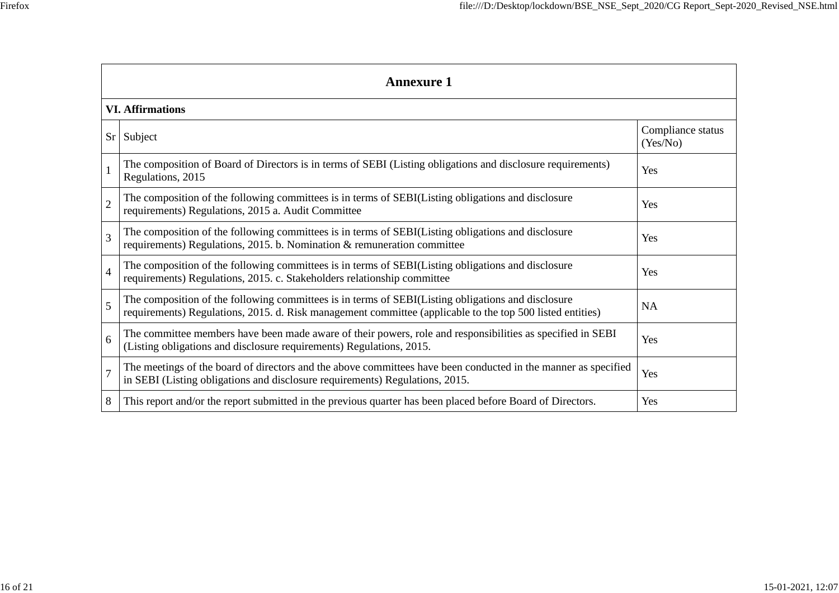|                | <b>Annexure 1</b>                                                                                                                                                                                               |                               |  |  |  |  |
|----------------|-----------------------------------------------------------------------------------------------------------------------------------------------------------------------------------------------------------------|-------------------------------|--|--|--|--|
|                | <b>VI. Affirmations</b>                                                                                                                                                                                         |                               |  |  |  |  |
|                | Sr Subject                                                                                                                                                                                                      | Compliance status<br>(Yes/No) |  |  |  |  |
|                | The composition of Board of Directors is in terms of SEBI (Listing obligations and disclosure requirements)<br>Regulations, 2015                                                                                | Yes                           |  |  |  |  |
| $\overline{2}$ | The composition of the following committees is in terms of SEBI(Listing obligations and disclosure<br>requirements) Regulations, 2015 a. Audit Committee                                                        | Yes                           |  |  |  |  |
| 3              | The composition of the following committees is in terms of SEBI(Listing obligations and disclosure<br>requirements) Regulations, 2015. b. Nomination & remuneration committee                                   | Yes                           |  |  |  |  |
| $\overline{4}$ | The composition of the following committees is in terms of SEBI(Listing obligations and disclosure<br>requirements) Regulations, 2015. c. Stakeholders relationship committee                                   | Yes                           |  |  |  |  |
| 5              | The composition of the following committees is in terms of SEBI(Listing obligations and disclosure<br>requirements) Regulations, 2015. d. Risk management committee (applicable to the top 500 listed entities) | <b>NA</b>                     |  |  |  |  |
| 6              | The committee members have been made aware of their powers, role and responsibilities as specified in SEBI<br>(Listing obligations and disclosure requirements) Regulations, 2015.                              | Yes                           |  |  |  |  |
| $\overline{7}$ | The meetings of the board of directors and the above committees have been conducted in the manner as specified<br>in SEBI (Listing obligations and disclosure requirements) Regulations, 2015.                  | Yes                           |  |  |  |  |
| 8              | This report and/or the report submitted in the previous quarter has been placed before Board of Directors.                                                                                                      | Yes                           |  |  |  |  |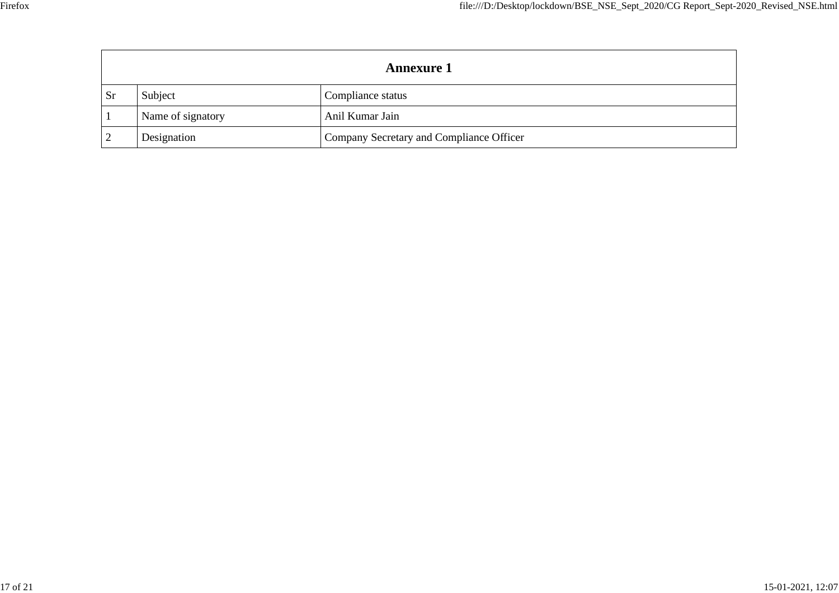| <b>Annexure 1</b> |                   |                                          |  |  |  |
|-------------------|-------------------|------------------------------------------|--|--|--|
| <b>Sr</b>         | Subject           | Compliance status                        |  |  |  |
|                   | Name of signatory | Anil Kumar Jain                          |  |  |  |
|                   | Designation       | Company Secretary and Compliance Officer |  |  |  |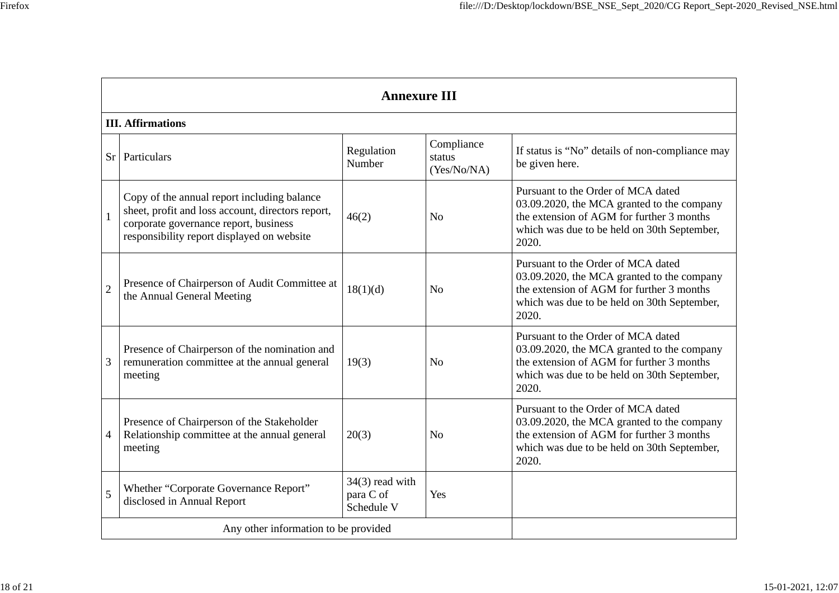|                | <b>Annexure III</b>                                                                                                                                                                     |                                              |                                     |                                                                                                                                                                                       |  |  |  |
|----------------|-----------------------------------------------------------------------------------------------------------------------------------------------------------------------------------------|----------------------------------------------|-------------------------------------|---------------------------------------------------------------------------------------------------------------------------------------------------------------------------------------|--|--|--|
|                | <b>III.</b> Affirmations                                                                                                                                                                |                                              |                                     |                                                                                                                                                                                       |  |  |  |
|                | Sr   Particulars                                                                                                                                                                        | Regulation<br>Number                         | Compliance<br>status<br>(Yes/No/NA) | If status is "No" details of non-compliance may<br>be given here.                                                                                                                     |  |  |  |
|                | Copy of the annual report including balance<br>sheet, profit and loss account, directors report,<br>corporate governance report, business<br>responsibility report displayed on website | 46(2)                                        | N <sub>0</sub>                      | Pursuant to the Order of MCA dated<br>03.09.2020, the MCA granted to the company<br>the extension of AGM for further 3 months<br>which was due to be held on 30th September,<br>2020. |  |  |  |
| $\overline{c}$ | Presence of Chairperson of Audit Committee at<br>the Annual General Meeting                                                                                                             | 18(1)(d)                                     | N <sub>o</sub>                      | Pursuant to the Order of MCA dated<br>03.09.2020, the MCA granted to the company<br>the extension of AGM for further 3 months<br>which was due to be held on 30th September,<br>2020. |  |  |  |
| 3              | Presence of Chairperson of the nomination and<br>remuneration committee at the annual general<br>meeting                                                                                | 19(3)                                        | $\rm No$                            | Pursuant to the Order of MCA dated<br>03.09.2020, the MCA granted to the company<br>the extension of AGM for further 3 months<br>which was due to be held on 30th September,<br>2020. |  |  |  |
| 4              | Presence of Chairperson of the Stakeholder<br>Relationship committee at the annual general<br>meeting                                                                                   | 20(3)                                        | N <sub>0</sub>                      | Pursuant to the Order of MCA dated<br>03.09.2020, the MCA granted to the company<br>the extension of AGM for further 3 months<br>which was due to be held on 30th September,<br>2020. |  |  |  |
| 5              | Whether "Corporate Governance Report"<br>disclosed in Annual Report                                                                                                                     | $34(3)$ read with<br>para C of<br>Schedule V | Yes                                 |                                                                                                                                                                                       |  |  |  |
|                | Any other information to be provided                                                                                                                                                    |                                              |                                     |                                                                                                                                                                                       |  |  |  |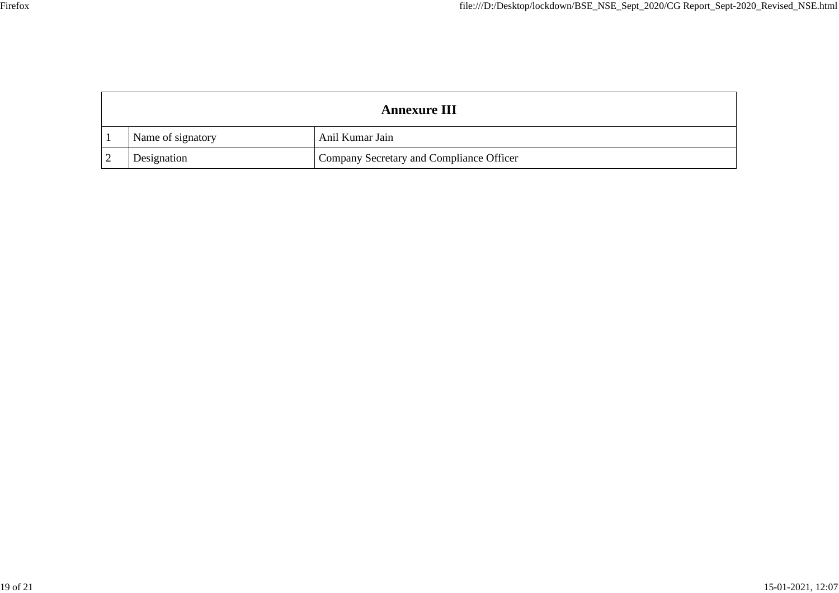| <b>Annexure III</b> |                   |                                          |  |  |  |
|---------------------|-------------------|------------------------------------------|--|--|--|
|                     | Name of signatory | Anil Kumar Jain                          |  |  |  |
|                     | Designation       | Company Secretary and Compliance Officer |  |  |  |